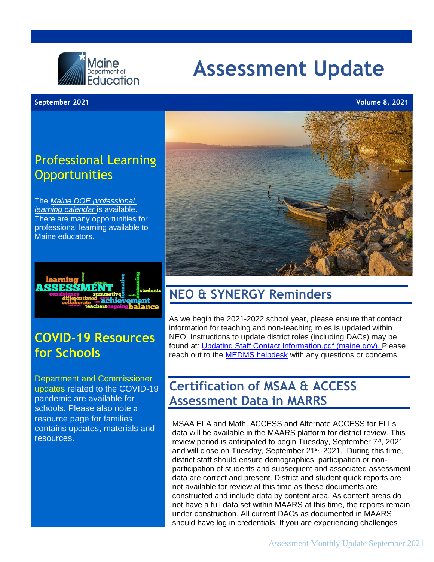

# **Assessment Update**

#### **September 2021 Volume 8, 2021**

### Professional Learning **Opportunities**

The *Maine DOE [professional](https://www.maine.gov/doe/calendar) [learning calendar](https://www.maine.gov/doe/calendar)* is available. There are many opportunities for professional learning available to Maine educators.



### **COVID-19 Resources for Schools**

[Department and Commissioner](https://www.maine.gov/doe/covid-19/toolkit)  [updates](https://www.maine.gov/doe/covid-19/toolkit) related to the COVID-19 pandemic are available [for](https://www.maine.gov/doe/covid-19/)  [schools.](https://www.maine.gov/doe/covid-19) Please also note a [resource page for](https://www.maine.gov/doe/continuityoflearning/parent) [families](https://www.maine.gov/doe/continuityoflearning/parent)  contains updates, materials and resources.



### **NEO & SYNERGY Reminders**

As we begin the 2021-2022 school year, please ensure that contact information for teaching and non-teaching roles is updated within NEO. Instructions to update district roles (including DACs) may be found at: [Updating Staff Contact Information.pdf \(maine.gov\).](https://www.maine.gov/doe/sites/maine.gov.doe/files/inline-files/Updating%20Staff%20Contact%20Information.pdf) Please reach out to the [MEDMS helpdesk](mailto:MEDMS.Helpdesk@maine.gov) with any questions or concerns.

### **Certification of MSAA & ACCESS Assessment Data in MARRS**

MSAA ELA and Math, ACCESS and Alternate ACCESS for ELLs data will be available in the MAARS platform for district review. This review period is anticipated to begin Tuesday, September 7<sup>th</sup>, 2021 and will close on Tuesday, September 21<sup>st</sup>, 2021. During this time, district staff should ensure demographics, participation or nonparticipation of students and subsequent and associated assessment data are correct and present. District and student quick reports are not available for review at this time as these documents are constructed and include data by content area. As content areas do not have a full data set within MAARS at this time, the reports remain under construction. All current DACs as documented in MAARS should have log in credentials. If you are experiencing challenges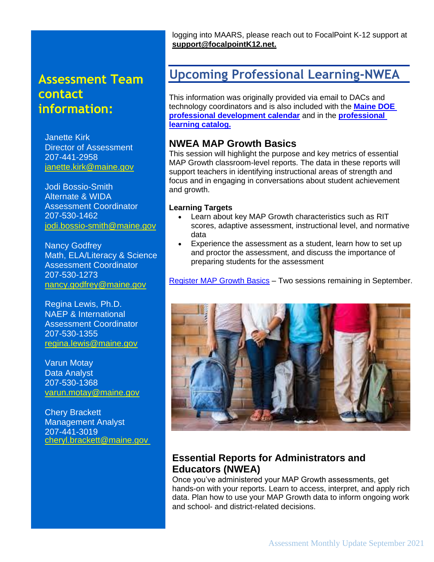### **Assessment Team contact information:**

Janette Kirk Director of Assessment 207-441-2958 [janette.kirk@maine.gov](mailto:janette.kirk@maine.gov)

Jodi Bossio-Smith Alternate & WIDA Assessment Coordinator 207-530-1462 [jodi.bossio-smith@maine.gov](mailto:jodi.bossio-smith@maine.gov)

Nancy Godfrey Math, ELA/Literacy & Science Assessment Coordinator 207-530-1273 [nancy.godfrey@maine.gov](mailto:nancy.godfrey@maine.gov)

Regina Lewis, Ph.D. NAEP & International Assessment Coordinator 207-530-1355 [regina.lewis@maine.gov](mailto:regina.lewis@maine.gov)

Varun Motay Data Analyst 207-530-1368 [varun.motay@maine.gov](mailto:Varun.motay@maine.gov)

Chery Brackett Management Analyst 207-441-3019 [cheryl.brackett@maine.gov](mailto:cheryl.brackett@maine.gov) logging into MAARS, please reach out to FocalPoint K-12 support at **[support@focalpointK12.net.](mailto:support@focalpointK12.net)**

### **Upcoming Professional Learning-NWEA**

This information was originally provided via email to DACs and technology coordinators and is also included with the **[Maine DOE](https://www.maine.gov/doe/calendar)  [professional development calendar](https://www.maine.gov/doe/calendar)** and in the **[professional](https://www.maine.gov/doe/sites/maine.gov.doe/files/inline-files/ME_PLCatalog_FY22_VF.pdf)  [learning catalog.](https://www.maine.gov/doe/sites/maine.gov.doe/files/inline-files/ME_PLCatalog_FY22_VF.pdf)**

### **NWEA MAP Growth Basics**

This session will highlight the purpose and key metrics of essential MAP Growth classroom-level reports. The data in these reports will support teachers in identifying instructional areas of strength and focus and in engaging in conversations about student achievement and growth.

#### **Learning Targets**

- Learn about key MAP Growth characteristics such as RIT scores, adaptive assessment, instructional level, and normative data
- Experience the assessment as a student, learn how to set up and proctor the assessment, and discuss the importance of preparing students for the assessment

[Register MAP Growth Basics](https://web.cvent.com/event/355955c1-1594-4e6e-9828-637bfd97a1ab/summary) – Two sessions remaining in September.



### **Essential Reports for Administrators and Educators (NWEA)**

Once you've administered your MAP Growth assessments, get hands-on with your reports. Learn to access, interpret, and apply rich data. Plan how to use your MAP Growth data to inform ongoing work and school- and district-related decisions.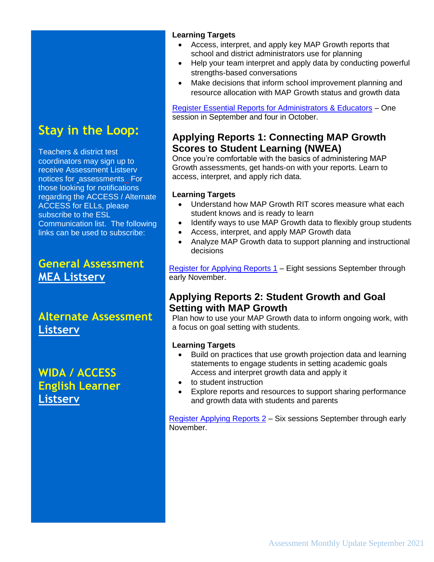# **Stay in the Loop:**

Teachers & district test coordinators may sign up to receive Assessment Listserv notices for assessments. For those looking for notifications regarding the ACCESS / Alternate ACCESS for ELLs, please subscribe to the ESL Communication list. The following links can be used to subscribe:

### **[General Assessment](https://mailman.informe.org/mailman/listinfo/mea) [MEA Listserv](https://mailman.informe.org/mailman/listinfo/mea)**

**[Alternate Assessment](https://mailman.informe.org/mailman/listinfo/alternateassessments) [Listserv](https://mailman.informe.org/mailman/listinfo/alternateassessments)**

**[WIDA / ACCESS](https://mailman.informe.org/mailman/listinfo/esl.communication) [English Learner](https://mailman.informe.org/mailman/listinfo/esl.communication) [Listserv](https://mailman.informe.org/mailman/listinfo/esl.communication)**

#### **Learning Targets**

- Access, interpret, and apply key MAP Growth reports that school and district administrators use for planning
- Help your team interpret and apply data by conducting powerful strengths-based conversations
- Make decisions that inform school improvement planning and resource allocation with MAP Growth status and growth data

[Register Essential Reports for Administrators & Educators](https://web.cvent.com/event/bf45a448-0dc0-4f16-8e15-46c1ca4bfa57/summary) – One session in September and four in October.

### **Applying Reports 1: Connecting MAP Growth Scores to Student Learning (NWEA)**

Once you're comfortable with the basics of administering MAP Growth assessments, get hands-on with your reports. Learn to access, interpret, and apply rich data.

#### **Learning Targets**

- Understand how MAP Growth RIT scores measure what each student knows and is ready to learn
- Identify ways to use MAP Growth data to flexibly group students
- Access, interpret, and apply MAP Growth data
- Analyze MAP Growth data to support planning and instructional decisions

[Register for Applying Reports 1](https://web.cvent.com/event/b747dbbc-cd95-4f2f-95ce-23c53e653bbe/summary) - Eight sessions September through early November.

### **Applying Reports 2: Student Growth and Goal Setting with MAP Growth**

Plan how to use your MAP Growth data to inform ongoing work, with a focus on goal setting with students.

#### **Learning Targets**

- Build on practices that use growth projection data and learning statements to engage students in setting academic goals Access and interpret growth data and apply it
- to student instruction
- Explore reports and resources to support sharing performance and growth data with students and parents

[Register Applying Reports 2](https://web.cvent.com/event/48902fbf-9d30-42e4-8559-adc4123755fb/summary) – Six sessions September through early November.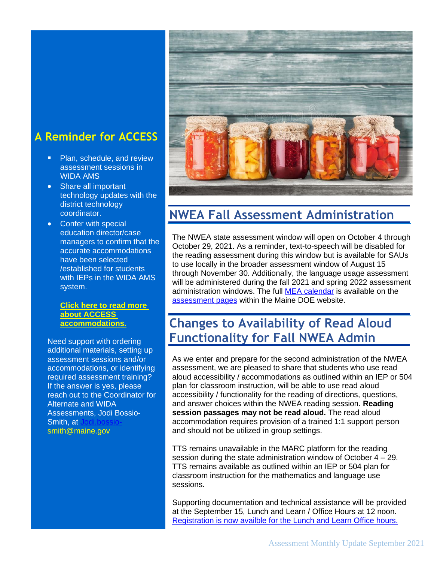### **A Reminder for ACCESS**

- Plan, schedule, and review assessment sessions in WIDA AMS
- Share all important technology updates with the district technology coordinator.
- Confer with special education director/case managers to confirm that the accurate accommodations have been selected /established for students with IEPs in the WIDA AMS system.

#### **[Click here to read more](https://www.maine.gov/doe/Testing_Accountability/MECAS/materials/access)  [about ACCESS](https://www.maine.gov/doe/Testing_Accountability/MECAS/materials/access)  [accommodations.](https://www.maine.gov/doe/Testing_Accountability/MECAS/materials/access)**

Need support with ordering additional materials, setting up assessment sessions and/or accommodations, or identifying required assessment training? If the answer is yes, please reach out to the Coordinator for Alternate and WIDA Assessments, Jodi Bossio-Smith, at [smith@maine.gov](mailto:Jodi.bossio-smith@maine.gov)



# **NWEA Fall Assessment Administration**

The NWEA state assessment window will open on October 4 through October 29, 2021. As a reminder, text-to-speech will be disabled for the reading assessment during this window but is available for SAUs to use locally in the broader assessment window of August 15 through November 30. Additionally, the language usage assessment will be administered during the fall 2021 and spring 2022 assessment administration windows. The full [MEA calendar](https://www.maine.gov/doe/Testing_Accountability/MECAS/calendar) is available on the [assessment pages](https://www.maine.gov/doe/Testing_Accountability/MECAS/calendar) within the Maine DOE website.

# **Changes to Availability of Read Aloud Functionality for Fall NWEA Admin**

As we enter and prepare for the second administration of the NWEA assessment, we are pleased to share that students who use read aloud accessibility / accommodations as outlined within an IEP or 504 plan for classroom instruction, will be able to use read aloud accessibility / functionality for the reading of directions, questions, and answer choices within the NWEA reading session. **Reading session passages may not be read aloud.** The read aloud accommodation requires provision of a trained 1:1 support person and should not be utilized in group settings.

TTS remains unavailable in the MARC platform for the reading session during the state administration window of October 4 – 29. TTS remains available as outlined within an IEP or 504 plan for classroom instruction for the mathematics and language use sessions.

Supporting documentation and technical assistance will be provided at the September 15, Lunch and Learn / Office Hours at 12 noon. [Registration is now availble for the Lunch and Learn Office hours.](https://networkmaine.zoom.us/meeting/register/tZIucuirrz0tGtT4YUZDjXPbAEDZ-IaOCvlU)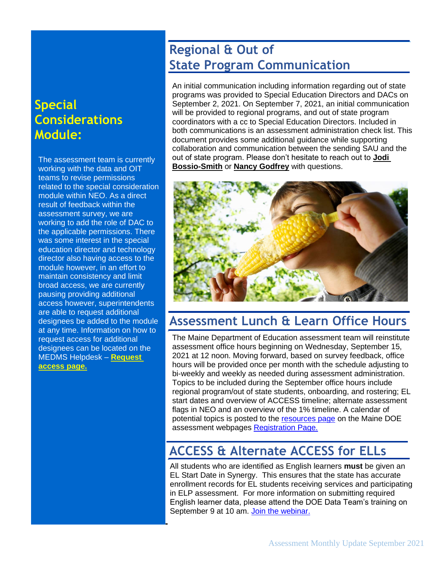### **Special Considerations Module:**

The assessment team is currently working with the data and OIT teams to revise permissions related to the special consideration module within NEO. As a direct result of feedback within the assessment survey, we are working to add the role of DAC to the applicable permissions. There was some interest in the special education director and technology director also having access to the module however, in an effort to maintain consistency and limit broad access, we are currently pausing providing additional access however, superintendents are able to request additional designees be added to the module at any time. Information on how to request access for additional designees can be located on the MEDMS Helpdesk – **[Request](https://mainedoe.co1.qualtrics.com/jfe/form/SV_0Hg1z6QgRAuoKPk)  [access page.](https://mainedoe.co1.qualtrics.com/jfe/form/SV_0Hg1z6QgRAuoKPk)**

## **Regional & Out of State Program Communication**

An initial communication including information regarding out of state programs was provided to Special Education Directors and DACs on September 2, 2021. On September 7, 2021, an initial communication will be provided to regional programs, and out of state program coordinators with a cc to Special Education Directors. Included in both communications is an assessment administration check list. This document provides some additional guidance while supporting collaboration and communication between the sending SAU and the out of state program. Please don't hesitate to reach out to **[Jodi](mailto:jodi.bossio-smith@maine.gov?subject=OOS%20students%20)  [Bossio-Smith](mailto:jodi.bossio-smith@maine.gov?subject=OOS%20students%20)** or **[Nancy Godfrey](mailto:Nancy.Godfrey@maine.gov?subject=OOS%20Students%20)** with questions.



### **Assessment Lunch & Learn Office Hours**

The Maine Department of Education assessment team will reinstitute assessment office hours beginning on Wednesday, September 15, 2021 at 12 noon. Moving forward, based on survey feedback, office hours will be provided once per month with the schedule adjusting to bi-weekly and weekly as needed during assessment administration. Topics to be included during the September office hours include regional program/out of state students, onboarding, and rostering; EL start dates and overview of ACCESS timeline; alternate assessment flags in NEO and an overview of the 1% timeline. A calendar of potential topics is posted to the [resources page](https://www.maine.gov/doe/Testing_Accountability/MECAS/supports) on the Maine DOE assessment webpages [Registration Page.](https://networkmaine.zoom.us/meeting/register/tZIucuirrz0tGtT4YUZDjXPbAEDZ-IaOCvlU)

### **ACCESS & Alternate ACCESS for ELLs**

 All students who are identified as English learners **must** be given an EL Start Date in Synergy. This ensures that the state has accurate enrollment records for EL students receiving services and participating in ELP assessment. For more information on submitting required English learner data, please attend the DOE Data Team's training on September 9 at 10 am. [Join the webinar.](https://teams.microsoft.com/l/meetup-join/19%3ameeting_MzA0MmMwMWYtNDI0Yy00MWVjLWE3MTctOTJjMzIxZmZjOWY0%40thread.v2/0?context=%7b%22Tid%22%3a%22413fa8ab-207d-4b62-9bcd-ea1a8f2f864e%22%2c%22Oid%22%3a%22f96e2cbf-9026-44fe-a380-8d940cb47b1a%22%2c%22IsBroadcastMeeting%22%3atrue%7d&btype=a&role=a)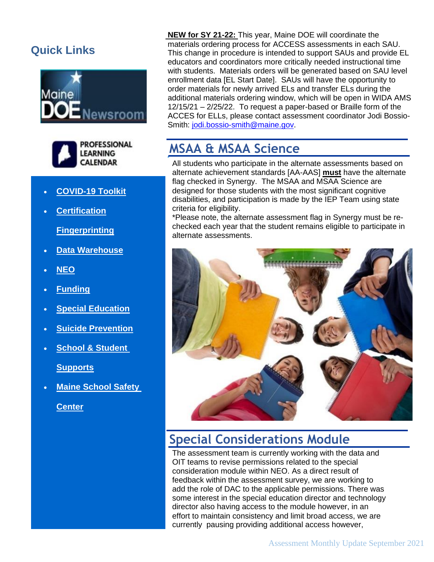### **Quick Links**





- **[COVID-19 Toolkit](https://www.maine.gov/doe/covid-19/toolkit)**
- **[Certification](http://maine.gov/doe/cert)**

**[Fingerprinting](https://www.maine.gov/doe/cert/fingerprinting)**

- **[Data Warehouse](https://www.maine.gov/doe/data-reporting/reporting/warehouse)**
- **[NEO](https://neo.maine.gov/DOE/NEO/Dashboard)**
- **[Funding](https://www.maine.gov/doe/funding)**
- **[Special Education](https://www.maine.gov/doe/learning/specialed)**
- **[Suicide Prevention](https://www.maine.gov/doe/suicideprevention)**
- **[School & Student](https://www.maine.gov/doe/schools/safeschools)**

**[Supports](https://www.maine.gov/doe/schools/safeschools)**

• **[Maine School Safety](https://www.maine.gov/doe/safety)** 

**[Center](https://www.maine.gov/doe/safety)**

**NEW for SY 21-22:** This year, Maine DOE will coordinate the materials ordering process for ACCESS assessments in each SAU. This change in procedure is intended to support SAUs and provide EL educators and coordinators more critically needed instructional time with students. Materials orders will be generated based on SAU level enrollment data [EL Start Date]. SAUs will have the opportunity to order materials for newly arrived ELs and transfer ELs during the additional materials ordering window, which will be open in WIDA AMS 12/15/21 – 2/25/22. To request a paper-based or Braille form of the ACCES for ELLs, please contact assessment coordinator Jodi Bossio-Smith: [jodi.bossio-smith@maine.gov.](mailto:jodi.bossio-smith@maine.gov)

### **MSAA & MSAA Science**

All students who participate in the alternate assessments based on alternate achievement standards [AA-AAS] **must** have the alternate flag checked in Synergy. The MSAA and MSAA Science are designed for those students with the most significant cognitive disabilities, and participation is made by the IEP Team using state criteria for eligibility.

\*Please note, the alternate assessment flag in Synergy must be rechecked each year that the student remains eligible to participate in alternate assessments.



### **Special Considerations Module**

The assessment team is currently working with the data and OIT teams to revise permissions related to the special consideration module within NEO. As a direct result of feedback within the assessment survey, we are working to add the role of DAC to the applicable permissions. There was some interest in the special education director and technology director also having access to the module however, in an effort to maintain consistency and limit broad access, we are currently pausing providing additional access however,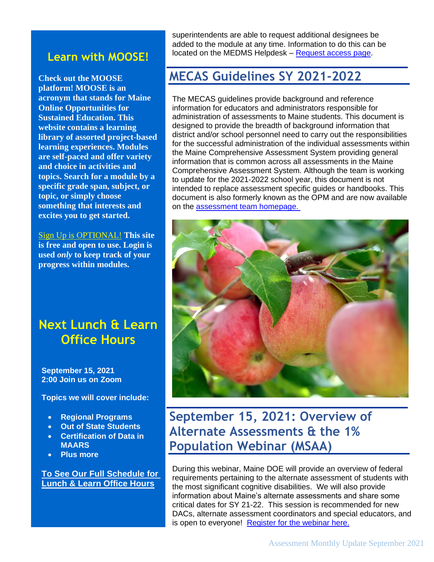### **Learn with MOOSE!**

**Check out the MOOSE platform! MOOSE is an acronym that stands for Maine Online Opportunities for Sustained Education. This website contains a learning library of assorted project-based learning experiences. Modules are self-paced and offer variety and choice in activities and topics. Search for a module by a specific grade span, subject, or topic, or simply choose something that interests and excites you to get started.**

Sign Up is [OPTIONAL!](https://learnwithmoose.maine.gov/) **This site is free and open to use. Login is used** *only* **to keep track of your progress within modules.**

### **Next Lunch & Learn Office Hours**

**September 15, 2021 2:00 Join us on Zoom**

**Topics we will cover include:**

- **Regional Programs**
- **Out of State Students**
- **Certification of Data in MAARS**
- **Plus more**

**[To See Our Full Schedule for](https://www.maine.gov/doe/node/456)  [Lunch & Learn Office Hours](https://www.maine.gov/doe/node/456)**

superintendents are able to request additional designees be added to the module at any time. Information to do this can be located on the MEDMS Helpdesk – [Request access page.](https://mainedoe.co1.qualtrics.com/jfe/form/SV_0Hg1z6QgRAuoKPk)

### **MECAS Guidelines SY 2021-2022**

The MECAS guidelines provide background and reference information for educators and administrators responsible for administration of assessments to Maine students. This document is designed to provide the breadth of background information that district and/or school personnel need to carry out the responsibilities for the successful administration of the individual assessments within the Maine Comprehensive Assessment System providing general information that is common across all assessments in the Maine Comprehensive Assessment System. Although the team is working to update for the 2021-2022 school year, this document is not intended to replace assessment specific guides or handbooks. This document is also formerly known as the OPM and are now available on the [assessment team homepage.](https://www.maine.gov/doe/Testing_Accountability/MECAS) 



**September 15, 2021: Overview of Alternate Assessments & the 1% Population Webinar (MSAA)**

During this webinar, Maine DOE will provide an overview of federal requirements pertaining to the alternate assessment of students with the most significant cognitive disabilities. We will also provide information about Maine's alternate assessments and share some critical dates for SY 21-22. This session is recommended for new DACs, alternate assessment coordinators and special educators, and is open to everyone! [Register for the webinar here.](https://networkmaine.zoom.us/meeting/register/tZUpdOuqrjoiHNE1f0bDDtTRVG1YiZxG9VCq)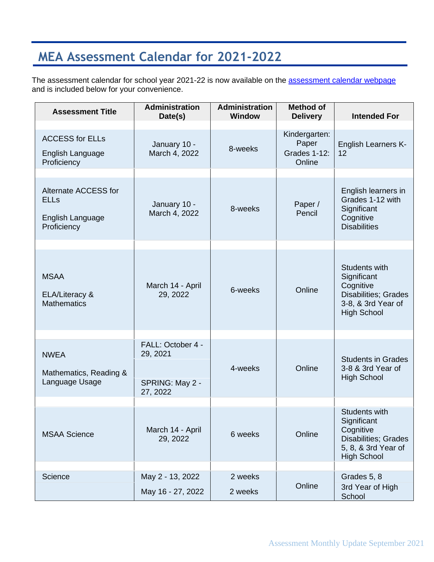# **MEA Assessment Calendar for 2021-2022**

The assessment calendar for school year 2021-22 is now available on the **assessment calendar webpage** and is included below for your convenience.

| <b>Assessment Title</b>                                                | <b>Administration</b><br>Date(s)                             | <b>Administration</b><br><b>Window</b> | <b>Method of</b><br><b>Delivery</b>                     | <b>Intended For</b>                                                                                                   |
|------------------------------------------------------------------------|--------------------------------------------------------------|----------------------------------------|---------------------------------------------------------|-----------------------------------------------------------------------------------------------------------------------|
| <b>ACCESS for ELLs</b><br>English Language<br>Proficiency              | January 10 -<br>March 4, 2022                                | 8-weeks                                | Kindergarten:<br>Paper<br><b>Grades 1-12:</b><br>Online | <b>English Learners K-</b><br>12                                                                                      |
| Alternate ACCESS for<br><b>ELLs</b><br>English Language<br>Proficiency | January 10 -<br>March 4, 2022                                | 8-weeks                                | Paper /<br>Pencil                                       | English learners in<br>Grades 1-12 with<br>Significant<br>Cognitive<br><b>Disabilities</b>                            |
| <b>MSAA</b><br>ELA/Literacy &<br><b>Mathematics</b>                    | March 14 - April<br>29, 2022                                 | 6-weeks                                | Online                                                  | Students with<br>Significant<br>Cognitive<br>Disabilities; Grades<br>3-8, & 3rd Year of<br><b>High School</b>         |
| <b>NWEA</b><br>Mathematics, Reading &<br>Language Usage                | FALL: October 4 -<br>29, 2021<br>SPRING: May 2 -<br>27, 2022 | 4-weeks                                | Online                                                  | <b>Students in Grades</b><br>3-8 & 3rd Year of<br><b>High School</b>                                                  |
| <b>MSAA Science</b>                                                    | March 14 - April<br>29, 2022                                 | 6 weeks                                | Online                                                  | Students with<br>Significant<br>Cognitive<br><b>Disabilities; Grades</b><br>5, 8, & 3rd Year of<br><b>High School</b> |
| Science                                                                | May 2 - 13, 2022<br>May 16 - 27, 2022                        | 2 weeks<br>2 weeks                     | Online                                                  | Grades 5, 8<br>3rd Year of High<br>School                                                                             |